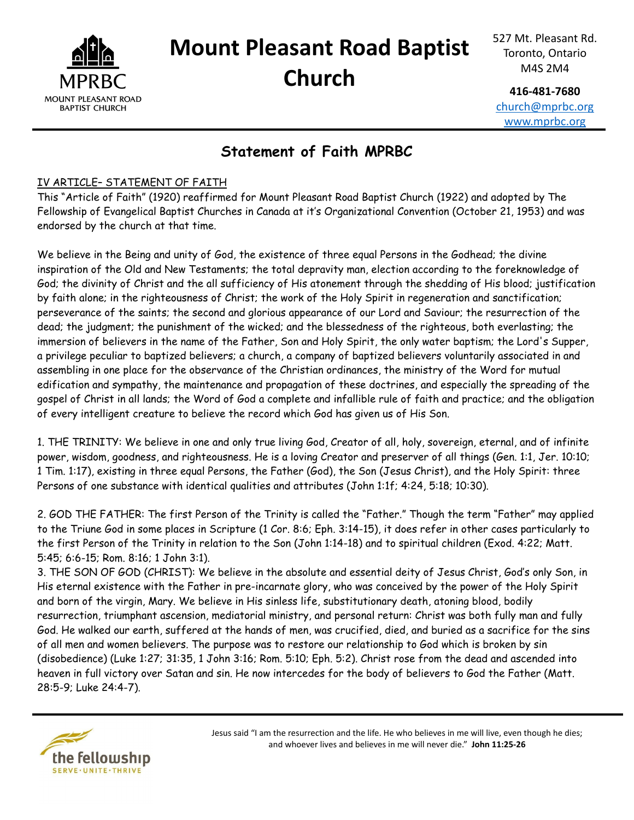

## **Mount Pleasant Road Baptist Church**

527 Mt. Pleasant Rd. Toronto, Ontario M4S 2M4

**416-481-7680** [church@mprbc.org](mailto:church@mprbc.org) [www.mprbc.org](http://www.mprbc.org)

### **Statement of Faith MPRBC**

#### IV ARTICLE– STATEMENT OF FAITH

This "Article of Faith" (1920) reaffirmed for Mount Pleasant Road Baptist Church (1922) and adopted by The Fellowship of Evangelical Baptist Churches in Canada at it's Organizational Convention (October 21, 1953) and was endorsed by the church at that time.

We believe in the Being and unity of God, the existence of three equal Persons in the Godhead; the divine inspiration of the Old and New Testaments; the total depravity man, election according to the foreknowledge of God; the divinity of Christ and the all sufficiency of His atonement through the shedding of His blood; justification by faith alone; in the righteousness of Christ; the work of the Holy Spirit in regeneration and sanctification; perseverance of the saints; the second and glorious appearance of our Lord and Saviour; the resurrection of the dead; the judgment; the punishment of the wicked; and the blessedness of the righteous, both everlasting; the immersion of believers in the name of the Father, Son and Holy Spirit, the only water baptism; the Lord's Supper, a privilege peculiar to baptized believers; a church, a company of baptized believers voluntarily associated in and assembling in one place for the observance of the Christian ordinances, the ministry of the Word for mutual edification and sympathy, the maintenance and propagation of these doctrines, and especially the spreading of the gospel of Christ in all lands; the Word of God a complete and infallible rule of faith and practice; and the obligation of every intelligent creature to believe the record which God has given us of His Son.

1. THE TRINITY: We believe in one and only true living God, Creator of all, holy, sovereign, eternal, and of infinite power, wisdom, goodness, and righteousness. He is a loving Creator and preserver of all things (Gen. 1:1, Jer. 10:10; 1 Tim. 1:17), existing in three equal Persons, the Father (God), the Son (Jesus Christ), and the Holy Spirit: three Persons of one substance with identical qualities and attributes (John 1:1f; 4:24, 5:18; 10:30).

2. GOD THE FATHER: The first Person of the Trinity is called the "Father." Though the term "Father" may applied to the Triune God in some places in Scripture (1 Cor. 8:6; Eph. 3:14-15), it does refer in other cases particularly to the first Person of the Trinity in relation to the Son (John 1:14-18) and to spiritual children (Exod. 4:22; Matt. 5:45; 6:6-15; Rom. 8:16; 1 John 3:1).

3. THE SON OF GOD (CHRIST): We believe in the absolute and essential deity of Jesus Christ, God's only Son, in His eternal existence with the Father in pre-incarnate glory, who was conceived by the power of the Holy Spirit and born of the virgin, Mary. We believe in His sinless life, substitutionary death, atoning blood, bodily resurrection, triumphant ascension, mediatorial ministry, and personal return: Christ was both fully man and fully God. He walked our earth, suffered at the hands of men, was crucified, died, and buried as a sacrifice for the sins of all men and women believers. The purpose was to restore our relationship to God which is broken by sin (disobedience) (Luke 1:27; 31:35, 1 John 3:16; Rom. 5:10; Eph. 5:2). Christ rose from the dead and ascended into heaven in full victory over Satan and sin. He now intercedes for the body of believers to God the Father (Matt. 28:5-9; Luke 24:4-7).

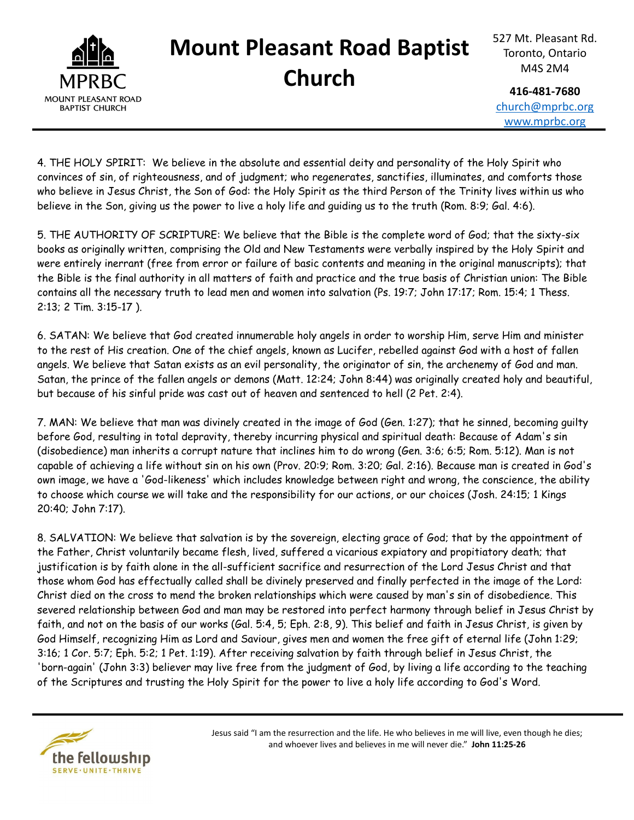

## **Mount Pleasant Road Baptist Church**

527 Mt. Pleasant Rd. Toronto, Ontario M4S 2M4

**416-481-7680** [church@mprbc.org](mailto:church@mprbc.org) [www.mprbc.org](http://www.mprbc.org)

4. THE HOLY SPIRIT: We believe in the absolute and essential deity and personality of the Holy Spirit who convinces of sin, of righteousness, and of judgment; who regenerates, sanctifies, illuminates, and comforts those who believe in Jesus Christ, the Son of God: the Holy Spirit as the third Person of the Trinity lives within us who believe in the Son, giving us the power to live a holy life and guiding us to the truth (Rom. 8:9; Gal. 4:6).

5. THE AUTHORITY OF SCRIPTURE: We believe that the Bible is the complete word of God; that the sixty-six books as originally written, comprising the Old and New Testaments were verbally inspired by the Holy Spirit and were entirely inerrant (free from error or failure of basic contents and meaning in the original manuscripts); that the Bible is the final authority in all matters of faith and practice and the true basis of Christian union: The Bible contains all the necessary truth to lead men and women into salvation (Ps. 19:7; John 17:17; Rom. 15:4; 1 Thess. 2:13; 2 Tim. 3:15-17 ).

6. SATAN: We believe that God created innumerable holy angels in order to worship Him, serve Him and minister to the rest of His creation. One of the chief angels, known as Lucifer, rebelled against God with a host of fallen angels. We believe that Satan exists as an evil personality, the originator of sin, the archenemy of God and man. Satan, the prince of the fallen angels or demons (Matt. 12:24; John 8:44) was originally created holy and beautiful, but because of his sinful pride was cast out of heaven and sentenced to hell (2 Pet. 2:4).

7. MAN: We believe that man was divinely created in the image of God (Gen. 1:27); that he sinned, becoming guilty before God, resulting in total depravity, thereby incurring physical and spiritual death: Because of Adam's sin (disobedience) man inherits a corrupt nature that inclines him to do wrong (Gen. 3:6; 6:5; Rom. 5:12). Man is not capable of achieving a life without sin on his own (Prov. 20:9; Rom. 3:20; Gal. 2:16). Because man is created in God's own image, we have a 'God-likeness' which includes knowledge between right and wrong, the conscience, the ability to choose which course we will take and the responsibility for our actions, or our choices (Josh. 24:15; 1 Kings 20:40; John 7:17).

8. SALVATION: We believe that salvation is by the sovereign, electing grace of God; that by the appointment of the Father, Christ voluntarily became flesh, lived, suffered a vicarious expiatory and propitiatory death; that justification is by faith alone in the all-sufficient sacrifice and resurrection of the Lord Jesus Christ and that those whom God has effectually called shall be divinely preserved and finally perfected in the image of the Lord: Christ died on the cross to mend the broken relationships which were caused by man's sin of disobedience. This severed relationship between God and man may be restored into perfect harmony through belief in Jesus Christ by faith, and not on the basis of our works (Gal. 5:4, 5; Eph. 2:8, 9). This belief and faith in Jesus Christ, is given by God Himself, recognizing Him as Lord and Saviour, gives men and women the free gift of eternal life (John 1:29; 3:16; 1 Cor. 5:7; Eph. 5:2; 1 Pet. 1:19). After receiving salvation by faith through belief in Jesus Christ, the 'born-again' (John 3:3) believer may live free from the judgment of God, by living a life according to the teaching of the Scriptures and trusting the Holy Spirit for the power to live a holy life according to God's Word.

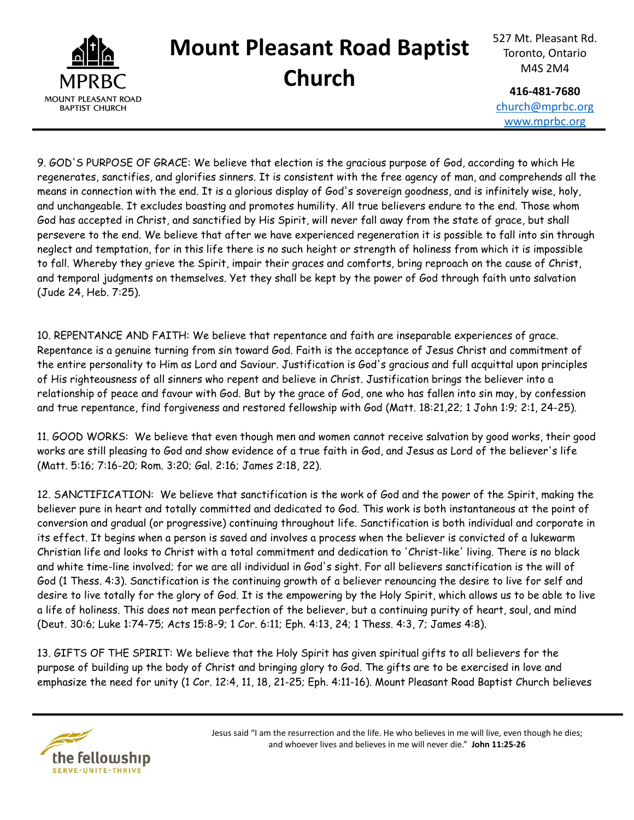

# **Mount Pleasant Road Baptist Church**

527 Mt. Pleasant Rd. Toronto, Ontario M4S 2M4

**416-481-7680** [church@mprbc.org](mailto:church@mprbc.org) [www.mprbc.org](http://www.mprbc.org)

9. GOD'S PURPOSE OF GRACE: We believe that election is the gracious purpose of God, according to which He regenerates, sanctifies, and glorifies sinners. It is consistent with the free agency of man, and comprehends all the means in connection with the end. It is a glorious display of God's sovereign goodness, and is infinitely wise, holy, and unchangeable. It excludes boasting and promotes humility. All true believers endure to the end. Those whom God has accepted in Christ, and sanctified by His Spirit, will never fall away from the state of grace, but shall persevere to the end. We believe that after we have experienced regeneration it is possible to fall into sin through neglect and temptation, for in this life there is no such height or strength of holiness from which it is impossible to fall. Whereby they grieve the Spirit, impair their graces and comforts, bring reproach on the cause of Christ, and temporal judgments on themselves. Yet they shall be kept by the power of God through faith unto salvation (Jude 24, Heb. 7:25).

10. REPENTANCE AND FAITH: We believe that repentance and faith are inseparable experiences of grace. Repentance is a genuine turning from sin toward God. Faith is the acceptance of Jesus Christ and commitment of the entire personality to Him as Lord and Saviour. Justification is God's gracious and full acquittal upon principles of His righteousness of all sinners who repent and believe in Christ. Justification brings the believer into a relationship of peace and favour with God. But by the grace of God, one who has fallen into sin may, by confession and true repentance, find forgiveness and restored fellowship with God (Matt. 18:21,22; 1 John 1:9; 2:1, 24-25).

11. GOOD WORKS: We believe that even though men and women cannot receive salvation by good works, their good works are still pleasing to God and show evidence of a true faith in God, and Jesus as Lord of the believer's life (Matt. 5:16; 7:16-20; Rom. 3:20; Gal. 2:16; James 2:18, 22).

12. SANCTIFICATION: We believe that sanctification is the work of God and the power of the Spirit, making the believer pure in heart and totally committed and dedicated to God. This work is both instantaneous at the point of conversion and gradual (or progressive) continuing throughout life. Sanctification is both individual and corporate in its effect. It begins when a person is saved and involves a process when the believer is convicted of a lukewarm Christian life and looks to Christ with a total commitment and dedication to 'Christ-like' living. There is no black and white time-line involved; for we are all individual in God's sight. For all believers sanctification is the will of God (1 Thess. 4:3). Sanctification is the continuing growth of a believer renouncing the desire to live for self and desire to live totally for the glory of God. It is the empowering by the Holy Spirit, which allows us to be able to live a life of holiness. This does not mean perfection of the believer, but a continuing purity of heart, soul, and mind (Deut. 30:6; Luke 1:74-75; Acts 15:8-9; 1 Cor. 6:11; Eph. 4:13, 24; 1 Thess. 4:3, 7; James 4:8).

13. GIFTS OF THE SPIRIT: We believe that the Holy Spirit has given spiritual gifts to all believers for the purpose of building up the body of Christ and bringing glory to God. The gifts are to be exercised in love and emphasize the need for unity (1 Cor. 12:4, 11, 18, 21-25; Eph. 4:11-16). Mount Pleasant Road Baptist Church believes

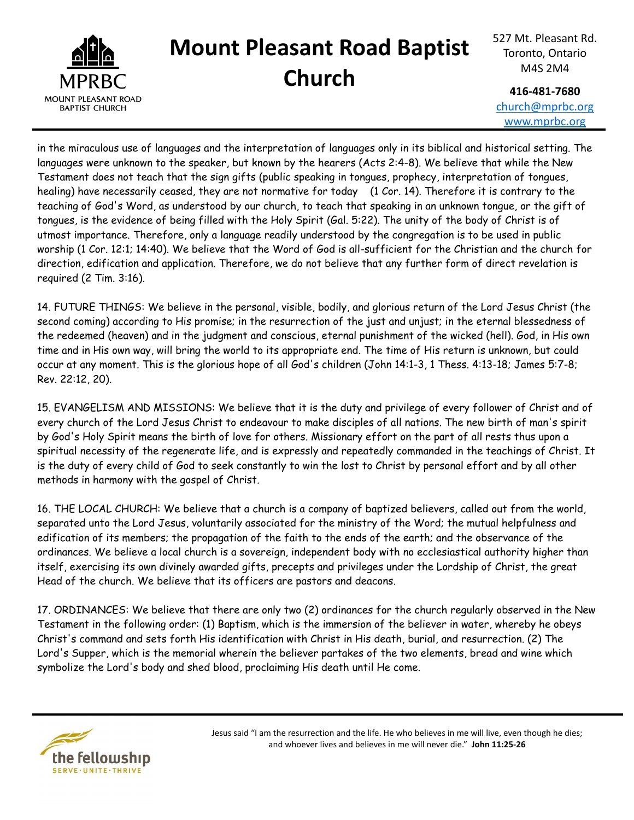

527 Mt. Pleasant Rd. Toronto, Ontario M4S 2M4

**416-481-7680** [church@mprbc.org](mailto:church@mprbc.org) [www.mprbc.org](http://www.mprbc.org)

in the miraculous use of languages and the interpretation of languages only in its biblical and historical setting. The languages were unknown to the speaker, but known by the hearers (Acts 2:4-8). We believe that while the New Testament does not teach that the sign gifts (public speaking in tongues, prophecy, interpretation of tongues, healing) have necessarily ceased, they are not normative for today (1 Cor. 14). Therefore it is contrary to the teaching of God's Word, as understood by our church, to teach that speaking in an unknown tongue, or the gift of tongues, is the evidence of being filled with the Holy Spirit (Gal. 5:22). The unity of the body of Christ is of utmost importance. Therefore, only a language readily understood by the congregation is to be used in public worship (1 Cor. 12:1; 14:40). We believe that the Word of God is all-sufficient for the Christian and the church for direction, edification and application. Therefore, we do not believe that any further form of direct revelation is required (2 Tim. 3:16).

14. FUTURE THINGS: We believe in the personal, visible, bodily, and glorious return of the Lord Jesus Christ (the second coming) according to His promise; in the resurrection of the just and unjust; in the eternal blessedness of the redeemed (heaven) and in the judgment and conscious, eternal punishment of the wicked (hell). God, in His own time and in His own way, will bring the world to its appropriate end. The time of His return is unknown, but could occur at any moment. This is the glorious hope of all God's children (John 14:1-3, 1 Thess. 4:13-18; James 5:7-8; Rev. 22:12, 20).

15. EVANGELISM AND MISSIONS: We believe that it is the duty and privilege of every follower of Christ and of every church of the Lord Jesus Christ to endeavour to make disciples of all nations. The new birth of man's spirit by God's Holy Spirit means the birth of love for others. Missionary effort on the part of all rests thus upon a spiritual necessity of the regenerate life, and is expressly and repeatedly commanded in the teachings of Christ. It is the duty of every child of God to seek constantly to win the lost to Christ by personal effort and by all other methods in harmony with the gospel of Christ.

16. THE LOCAL CHURCH: We believe that a church is a company of baptized believers, called out from the world, separated unto the Lord Jesus, voluntarily associated for the ministry of the Word; the mutual helpfulness and edification of its members; the propagation of the faith to the ends of the earth; and the observance of the ordinances. We believe a local church is a sovereign, independent body with no ecclesiastical authority higher than itself, exercising its own divinely awarded gifts, precepts and privileges under the Lordship of Christ, the great Head of the church. We believe that its officers are pastors and deacons.

17. ORDINANCES: We believe that there are only two (2) ordinances for the church regularly observed in the New Testament in the following order: (1) Baptism, which is the immersion of the believer in water, whereby he obeys Christ's command and sets forth His identification with Christ in His death, burial, and resurrection. (2) The Lord's Supper, which is the memorial wherein the believer partakes of the two elements, bread and wine which symbolize the Lord's body and shed blood, proclaiming His death until He come.